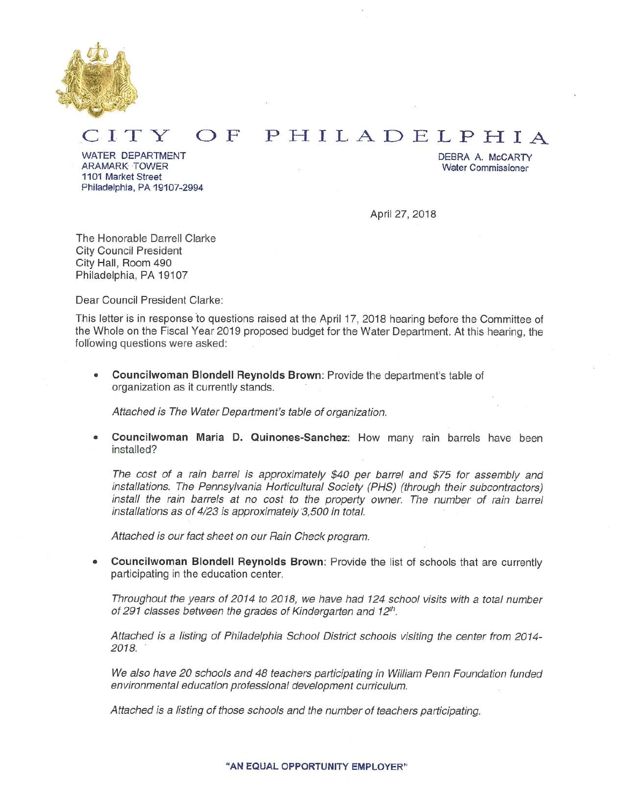

#### OF PHILADELPHIA ITY

WATER DEPARTMENT ARAMARK TOWER 1101 Market Street Philadelphia, PA 19107-2994 DEBRA A. McCARTY **Water Commissioner** 

April 27, 2018

The Honorable Darrell Clarke **City Council President** City Hall, Room 490 Philadelphia, PA 19107

Dear Council President Clarke:

This letter is in response to questions raised at the April 17, 2018 hearing before the Committee of the Whole on the Fiscal Year 2019 proposed budget for the Water Department. At this hearing, the following questions were asked:

Councilwoman Blondell Reynolds Brown: Provide the department's table of organization as it currently stands.

Attached is The Water Department's table of organization.

Councilwoman Maria D. Quinones-Sanchez: How many rain barrels have been installed?

The cost of a rain barrel is approximately \$40 per barrel and \$75 for assembly and installations. The Pennsylvania Horticultural Society (PHS) (through their subcontractors) install the rain barrels at no cost to the property owner. The number of rain barrel installations as of 4/23 is approximately 3,500 in total.

Attached is our fact sheet on our Rain Check program.

Councilwoman Blondell Reynolds Brown: Provide the list of schools that are currently participating in the education center.

Throughout the years of 2014 to 2018, we have had 124 school visits with a total number of 291 classes between the grades of Kindergarten and 12th.

Attached is a listing of Philadelphia School District schools visiting the center from 2014-2018.

We also have 20 schools and 48 teachers participating in William Penn Foundation funded environmental education professional development curriculum.

Attached is a listing of those schools and the number of teachers participating.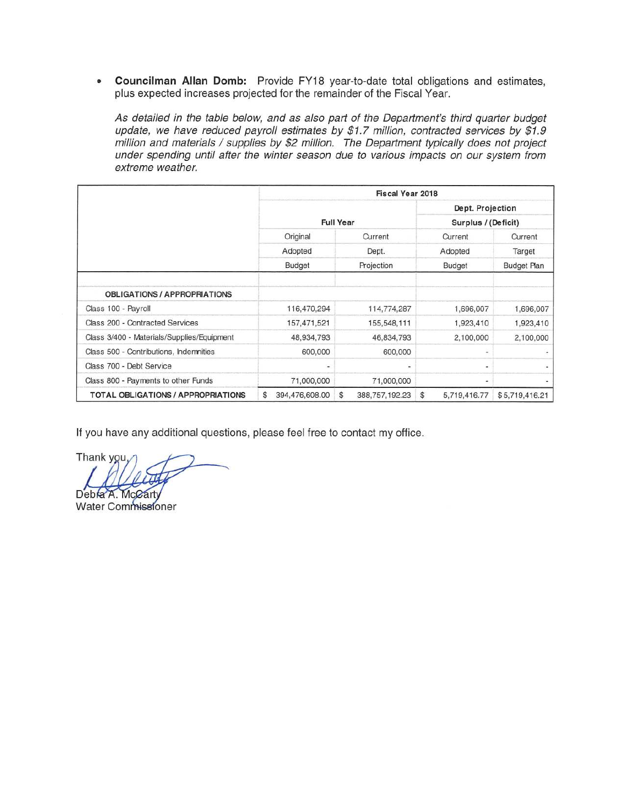• Councilman Allan Domb: Provide FY18 year-to-date total obligations and estimates, plus expected increases projected for the remainder of the Fiscal Year.

As detailed in the table below, and as also part of the Department's third quarter budget update, we have reduced payroll estimates by \$1.7 million, contracted services by \$1.9 million and materials / supplies by \$2 million. The Department typically does not project under spending until after the winter season due to various impacts on our system from extreme weather.

|                                            | <b>Fiscal Year 2018</b> |                      |                                |                                         |  |
|--------------------------------------------|-------------------------|----------------------|--------------------------------|-----------------------------------------|--|
|                                            |                         |                      |                                | Dept. Projection                        |  |
|                                            |                         | <b>Full Year</b>     | Surplus / (Deficit)            |                                         |  |
|                                            | Original                | Current              | Current                        | Current<br>Target<br><b>Budget Plan</b> |  |
|                                            | Adopted<br>Budget       | Dept.                | Adopted                        |                                         |  |
|                                            |                         | Projection           | Budget                         |                                         |  |
| <b>OBLIGATIONS / APPROPRIATIONS</b>        |                         |                      |                                |                                         |  |
| Class 100 - Payroll                        | 116,470,294             | 114,774,287          | 1,696,007                      | 1,696,007                               |  |
| Class 200 - Contracted Services            | 157,471,521             | 155,548,111          | 1,923,410                      | 1,923,410                               |  |
| Class 3/400 - Materials/Supplies/Equipment | 48,934,793              | 46,834,793           | 2,100,000                      | 2,100,000                               |  |
| Class 500 - Contributions, Indemnities     | 600,000                 | 600,000              | ٠                              |                                         |  |
| Class 700 - Debt Service                   | ۰                       | $\blacksquare$       | ۰                              |                                         |  |
| Class 800 - Payments to other Funds        | 71,000,000              | 71,000,000           | ۰                              |                                         |  |
| TOTAL OBLIGATIONS / APPROPRIATIONS         | S<br>394,476,608.00     | \$<br>388,757,192.23 | $\mathfrak{s}$<br>5,719,416.77 | \$5,719,416.21                          |  |

If you have any additional questions, please feel free to contact my office.

Thank you,

Debra A. McCarty Water Commissioner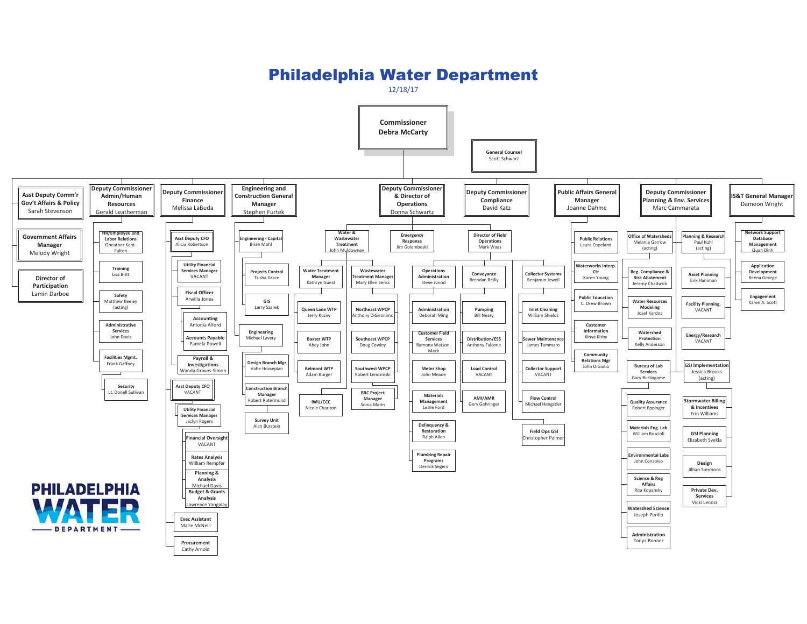## Philadelphia Water Department

12/18/17

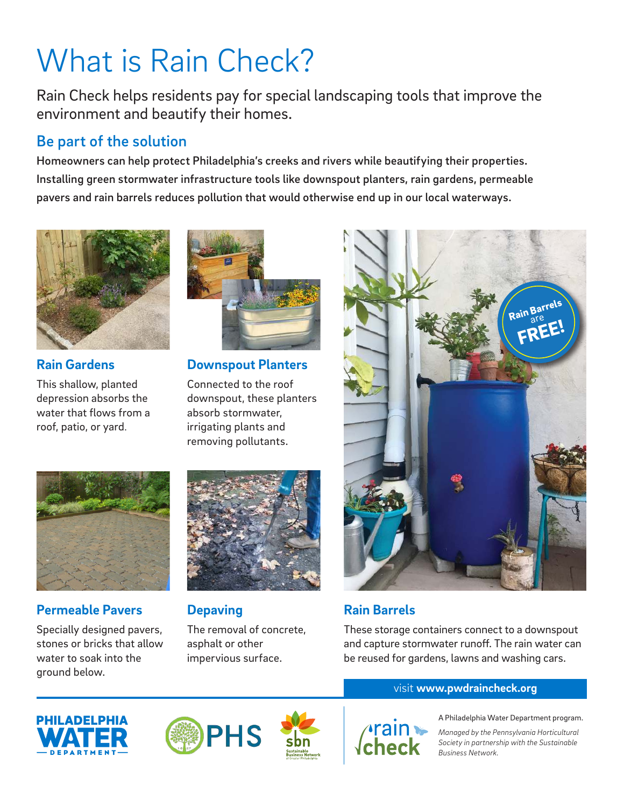# What is Rain Check?

Rain Check helps residents pay for special landscaping tools that improve the environment and beautify their homes.

## Be part of the solution

Homeowners can help protect Philadelphia's creeks and rivers while beautifying their properties. Installing green stormwater infrastructure tools like downspout planters, rain gardens, permeable pavers and rain barrels reduces pollution that would otherwise end up in our local waterways.



**Rain Gardens** This shallow, planted

depression absorbs the water that flows from a roof, patio, or yard.



**Downspout Planters**

Connected to the roof downspout, these planters absorb stormwater, irrigating plants and removing pollutants.



## **Permeable Pavers**

Specially designed pavers, stones or bricks that allow water to soak into the ground below.



**Depaving**

The removal of concrete, asphalt or other impervious surface.



## **Rain Barrels**

These storage containers connect to a downspout and capture stormwater runoff. The rain water can be reused for gardens, lawns and washing cars.

### visit **www.pwdraincheck.org**









A Philadelphia Water Department program.

*Managed by the Pennsylvania Horticultural Society in partnership with the Sustainable Business Network.*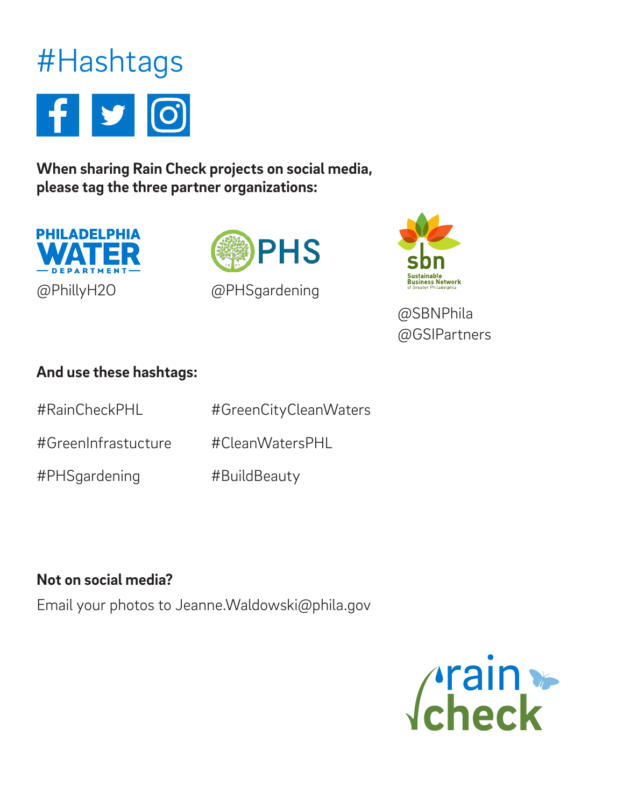

**When sharing Rain Check projects on social media, please tag the three partner organizations:**







@SBNPhila @GSIPartners

## **And use these hashtags:**

| #RainCheckPHL       | #GreenCityCleanWaters |
|---------------------|-----------------------|
| #GreenInfrastucture | #CleanWatersPHL       |
| #PHSgardening       | #BuildBeauty          |

## **Not on social media?**

Email your photos to Jeanne.Waldowski@phila.gov

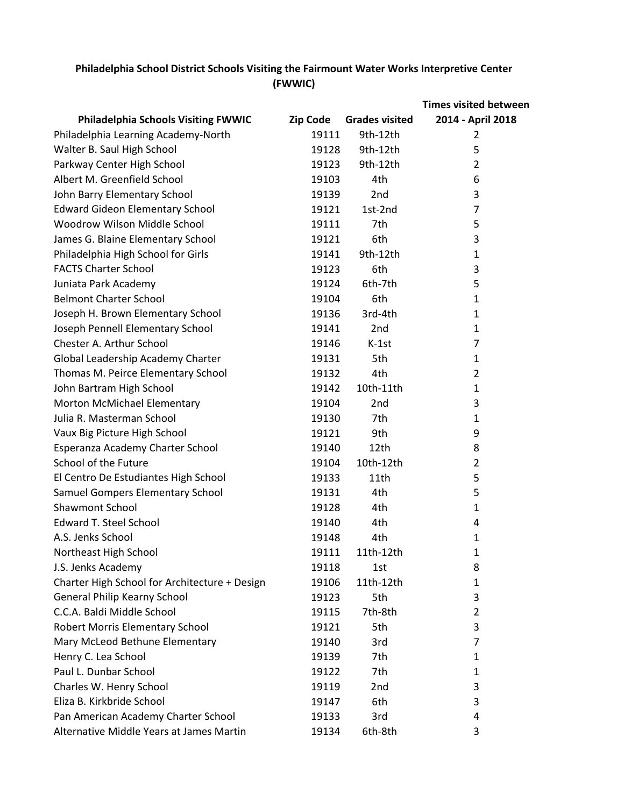|                                               |                 |                       | <b>Times visited between</b> |
|-----------------------------------------------|-----------------|-----------------------|------------------------------|
| <b>Philadelphia Schools Visiting FWWIC</b>    | <b>Zip Code</b> | <b>Grades visited</b> | 2014 - April 2018            |
| Philadelphia Learning Academy-North           | 19111           | 9th-12th              | 2                            |
| Walter B. Saul High School                    | 19128           | 9th-12th              | 5                            |
| Parkway Center High School                    | 19123           | 9th-12th              | $\overline{2}$               |
| Albert M. Greenfield School                   | 19103           | 4th                   | 6                            |
| John Barry Elementary School                  | 19139           | 2nd                   | 3                            |
| <b>Edward Gideon Elementary School</b>        | 19121           | 1st-2nd               | 7                            |
| Woodrow Wilson Middle School                  | 19111           | 7th                   | 5                            |
| James G. Blaine Elementary School             | 19121           | 6th                   | 3                            |
| Philadelphia High School for Girls            | 19141           | 9th-12th              | $\mathbf{1}$                 |
| <b>FACTS Charter School</b>                   | 19123           | 6th                   | 3                            |
| Juniata Park Academy                          | 19124           | 6th-7th               | 5                            |
| <b>Belmont Charter School</b>                 | 19104           | 6th                   | 1                            |
| Joseph H. Brown Elementary School             | 19136           | 3rd-4th               | $\mathbf{1}$                 |
| Joseph Pennell Elementary School              | 19141           | 2 <sub>nd</sub>       | 1                            |
| Chester A. Arthur School                      | 19146           | $K-1st$               | 7                            |
| Global Leadership Academy Charter             | 19131           | 5th                   | $\mathbf{1}$                 |
| Thomas M. Peirce Elementary School            | 19132           | 4th                   | $\overline{2}$               |
| John Bartram High School                      | 19142           | 10th-11th             | $\mathbf{1}$                 |
| Morton McMichael Elementary                   | 19104           | 2nd                   | 3                            |
| Julia R. Masterman School                     | 19130           | 7th                   | $\mathbf{1}$                 |
| Vaux Big Picture High School                  | 19121           | 9th                   | 9                            |
| Esperanza Academy Charter School              | 19140           | 12th                  | 8                            |
| School of the Future                          | 19104           | 10th-12th             | $\overline{2}$               |
| El Centro De Estudiantes High School          | 19133           | 11th                  | 5                            |
| Samuel Gompers Elementary School              | 19131           | 4th                   | 5                            |
| <b>Shawmont School</b>                        | 19128           | 4th                   | $\mathbf{1}$                 |
| <b>Edward T. Steel School</b>                 | 19140           | 4th                   | 4                            |
| A.S. Jenks School                             | 19148           | 4th                   | $\mathbf{1}$                 |
| Northeast High School                         | 19111           | 11th-12th             | 1                            |
| J.S. Jenks Academy                            | 19118           | 1st                   | 8                            |
| Charter High School for Architecture + Design | 19106           | 11th-12th             | $\mathbf{1}$                 |
| General Philip Kearny School                  | 19123           | 5th                   | 3                            |
| C.C.A. Baldi Middle School                    | 19115           | 7th-8th               | $\overline{2}$               |
| Robert Morris Elementary School               | 19121           | 5th                   | 3                            |
| Mary McLeod Bethune Elementary                | 19140           | 3rd                   | 7                            |
| Henry C. Lea School                           | 19139           | 7th                   | $\mathbf{1}$                 |
| Paul L. Dunbar School                         | 19122           | 7th                   | 1                            |
| Charles W. Henry School                       | 19119           | 2nd                   | 3                            |
| Eliza B. Kirkbride School                     | 19147           | 6th                   | 3                            |
| Pan American Academy Charter School           | 19133           | 3rd                   | 4                            |
| Alternative Middle Years at James Martin      | 19134           | 6th-8th               | 3                            |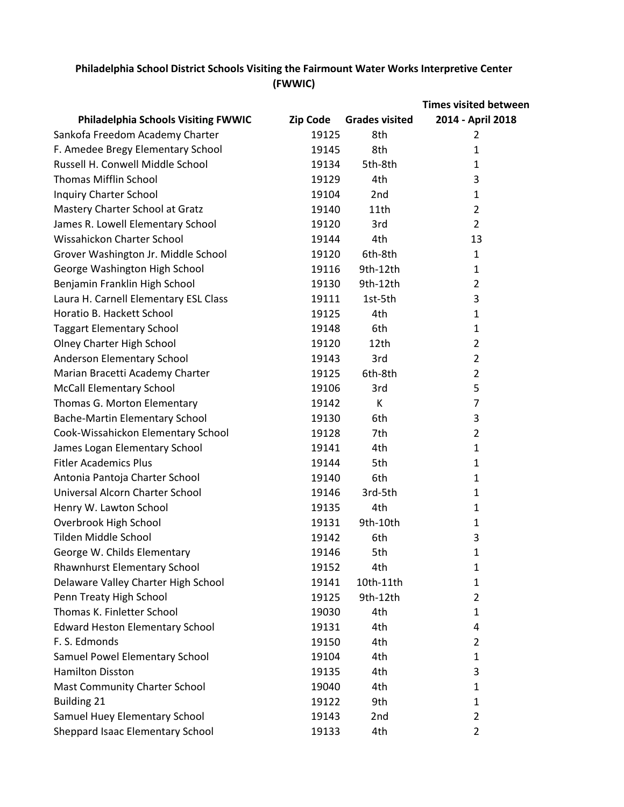|                                            |                 |                       | <b>Times visited between</b> |
|--------------------------------------------|-----------------|-----------------------|------------------------------|
| <b>Philadelphia Schools Visiting FWWIC</b> | <b>Zip Code</b> | <b>Grades visited</b> | 2014 - April 2018            |
| Sankofa Freedom Academy Charter            | 19125           | 8th                   | 2                            |
| F. Amedee Bregy Elementary School          | 19145           | 8th                   | 1                            |
| Russell H. Conwell Middle School           | 19134           | 5th-8th               | 1                            |
| <b>Thomas Mifflin School</b>               | 19129           | 4th                   | 3                            |
| <b>Inquiry Charter School</b>              | 19104           | 2nd                   | 1                            |
| Mastery Charter School at Gratz            | 19140           | 11th                  | $\overline{2}$               |
| James R. Lowell Elementary School          | 19120           | 3rd                   | $\overline{2}$               |
| Wissahickon Charter School                 | 19144           | 4th                   | 13                           |
| Grover Washington Jr. Middle School        | 19120           | 6th-8th               | $\mathbf{1}$                 |
| George Washington High School              | 19116           | 9th-12th              | 1                            |
| Benjamin Franklin High School              | 19130           | 9th-12th              | $\overline{2}$               |
| Laura H. Carnell Elementary ESL Class      | 19111           | 1st-5th               | 3                            |
| Horatio B. Hackett School                  | 19125           | 4th                   | $\mathbf{1}$                 |
| <b>Taggart Elementary School</b>           | 19148           | 6th                   | 1                            |
| Olney Charter High School                  | 19120           | 12th                  | $\overline{2}$               |
| Anderson Elementary School                 | 19143           | 3rd                   | $\overline{2}$               |
| Marian Bracetti Academy Charter            | 19125           | 6th-8th               | 2                            |
| <b>McCall Elementary School</b>            | 19106           | 3rd                   | 5                            |
| Thomas G. Morton Elementary                | 19142           | К                     | 7                            |
| <b>Bache-Martin Elementary School</b>      | 19130           | 6th                   | $\mathsf 3$                  |
| Cook-Wissahickon Elementary School         | 19128           | 7th                   | $\overline{2}$               |
| James Logan Elementary School              | 19141           | 4th                   | $\mathbf{1}$                 |
| <b>Fitler Academics Plus</b>               | 19144           | 5th                   | 1                            |
| Antonia Pantoja Charter School             | 19140           | 6th                   | $\mathbf{1}$                 |
| Universal Alcorn Charter School            | 19146           | 3rd-5th               | $\mathbf{1}$                 |
| Henry W. Lawton School                     | 19135           | 4th                   | $\mathbf{1}$                 |
| Overbrook High School                      | 19131           | 9th-10th              | 1                            |
| Tilden Middle School                       | 19142           | 6th                   | 3                            |
| George W. Childs Elementary                | 19146           | 5th                   | 1                            |
| Rhawnhurst Elementary School               | 19152           | 4th                   | 1                            |
| Delaware Valley Charter High School        | 19141           | 10th-11th             | 1                            |
| Penn Treaty High School                    | 19125           | 9th-12th              | 2                            |
| Thomas K. Finletter School                 | 19030           | 4th                   | 1                            |
| <b>Edward Heston Elementary School</b>     | 19131           | 4th                   | 4                            |
| F. S. Edmonds                              | 19150           | 4th                   | 2                            |
| Samuel Powel Elementary School             | 19104           | 4th                   | $\mathbf{1}$                 |
| <b>Hamilton Disston</b>                    | 19135           | 4th                   | 3                            |
| <b>Mast Community Charter School</b>       | 19040           | 4th                   | 1                            |
| <b>Building 21</b>                         | 19122           | 9th                   | 1                            |
| Samuel Huey Elementary School              | 19143           | 2nd                   | $\overline{2}$               |
| Sheppard Isaac Elementary School           | 19133           | 4th                   | 2                            |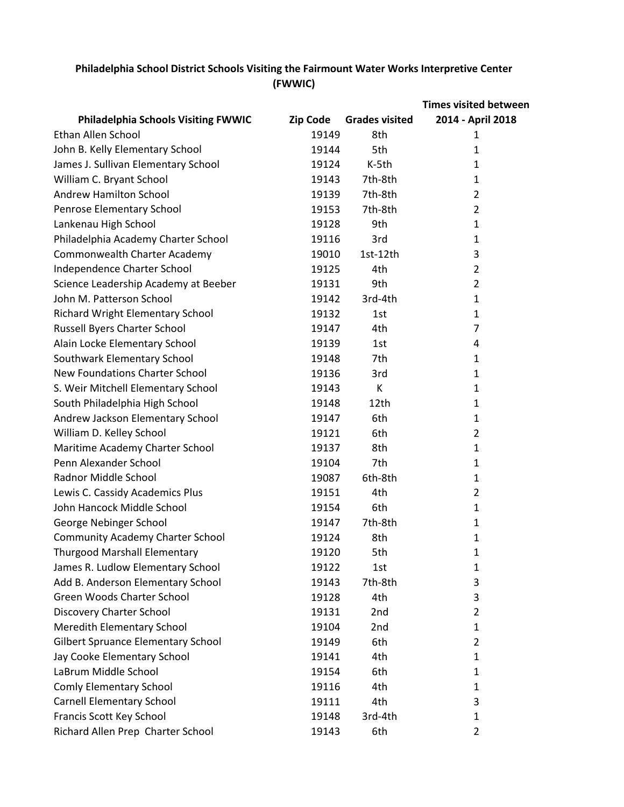|                                            |                 |                       | <b>Times visited between</b> |
|--------------------------------------------|-----------------|-----------------------|------------------------------|
| <b>Philadelphia Schools Visiting FWWIC</b> | <b>Zip Code</b> | <b>Grades visited</b> | 2014 - April 2018            |
| Ethan Allen School                         | 19149           | 8th                   | 1                            |
| John B. Kelly Elementary School            | 19144           | 5th                   | 1                            |
| James J. Sullivan Elementary School        | 19124           | K-5th                 | 1                            |
| William C. Bryant School                   | 19143           | 7th-8th               | $\mathbf{1}$                 |
| <b>Andrew Hamilton School</b>              | 19139           | 7th-8th               | 2                            |
| Penrose Elementary School                  | 19153           | 7th-8th               | 2                            |
| Lankenau High School                       | 19128           | 9th                   | $\mathbf{1}$                 |
| Philadelphia Academy Charter School        | 19116           | 3rd                   | $\mathbf{1}$                 |
| Commonwealth Charter Academy               | 19010           | 1st-12th              | 3                            |
| Independence Charter School                | 19125           | 4th                   | $\overline{2}$               |
| Science Leadership Academy at Beeber       | 19131           | 9th                   | 2                            |
| John M. Patterson School                   | 19142           | 3rd-4th               | $\mathbf{1}$                 |
| <b>Richard Wright Elementary School</b>    | 19132           | 1st                   | $\mathbf{1}$                 |
| Russell Byers Charter School               | 19147           | 4th                   | 7                            |
| Alain Locke Elementary School              | 19139           | 1st                   | 4                            |
| Southwark Elementary School                | 19148           | 7th                   | $\mathbf{1}$                 |
| <b>New Foundations Charter School</b>      | 19136           | 3rd                   | $\mathbf{1}$                 |
| S. Weir Mitchell Elementary School         | 19143           | К                     | $\mathbf{1}$                 |
| South Philadelphia High School             | 19148           | 12th                  | $\mathbf{1}$                 |
| Andrew Jackson Elementary School           | 19147           | 6th                   | $\mathbf{1}$                 |
| William D. Kelley School                   | 19121           | 6th                   | $\overline{2}$               |
| Maritime Academy Charter School            | 19137           | 8th                   | $\mathbf{1}$                 |
| Penn Alexander School                      | 19104           | 7th                   | 1                            |
| Radnor Middle School                       | 19087           | 6th-8th               | 1                            |
| Lewis C. Cassidy Academics Plus            | 19151           | 4th                   | $\overline{2}$               |
| John Hancock Middle School                 | 19154           | 6th                   | $\mathbf{1}$                 |
| George Nebinger School                     | 19147           | 7th-8th               | $\mathbf{1}$                 |
| <b>Community Academy Charter School</b>    | 19124           | 8th                   | $\mathbf{1}$                 |
| <b>Thurgood Marshall Elementary</b>        | 19120           | 5th                   | 1                            |
| James R. Ludlow Elementary School          | 19122           | 1st                   | $\mathbf 1$                  |
| Add B. Anderson Elementary School          | 19143           | 7th-8th               | 3                            |
| Green Woods Charter School                 | 19128           | 4th                   | 3                            |
| Discovery Charter School                   | 19131           | 2nd                   | $\overline{2}$               |
| <b>Meredith Elementary School</b>          | 19104           | 2nd                   | 1                            |
| <b>Gilbert Spruance Elementary School</b>  | 19149           | 6th                   | 2                            |
| Jay Cooke Elementary School                | 19141           | 4th                   | $\mathbf{1}$                 |
| LaBrum Middle School                       | 19154           | 6th                   | $\mathbf{1}$                 |
| <b>Comly Elementary School</b>             | 19116           | 4th                   | 1                            |
| <b>Carnell Elementary School</b>           | 19111           | 4th                   | 3                            |
| Francis Scott Key School                   | 19148           | 3rd-4th               | 1                            |
| Richard Allen Prep Charter School          | 19143           | 6th                   | 2                            |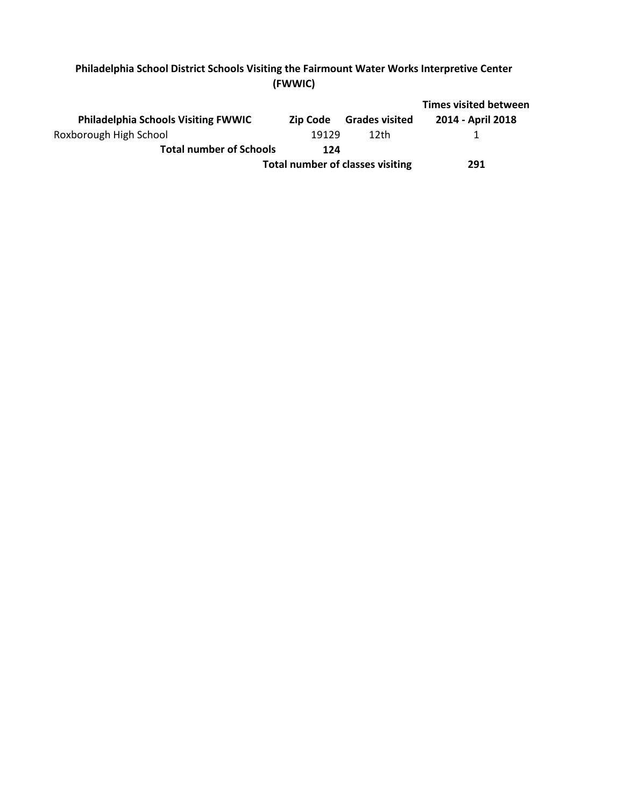|                                            |                                         |                       | <b>Times visited between</b> |
|--------------------------------------------|-----------------------------------------|-----------------------|------------------------------|
| <b>Philadelphia Schools Visiting FWWIC</b> | Zip Code                                | <b>Grades visited</b> | 2014 - April 2018            |
| Roxborough High School                     | 19129                                   | 12th                  |                              |
| <b>Total number of Schools</b>             | 124                                     |                       |                              |
|                                            | <b>Total number of classes visiting</b> |                       |                              |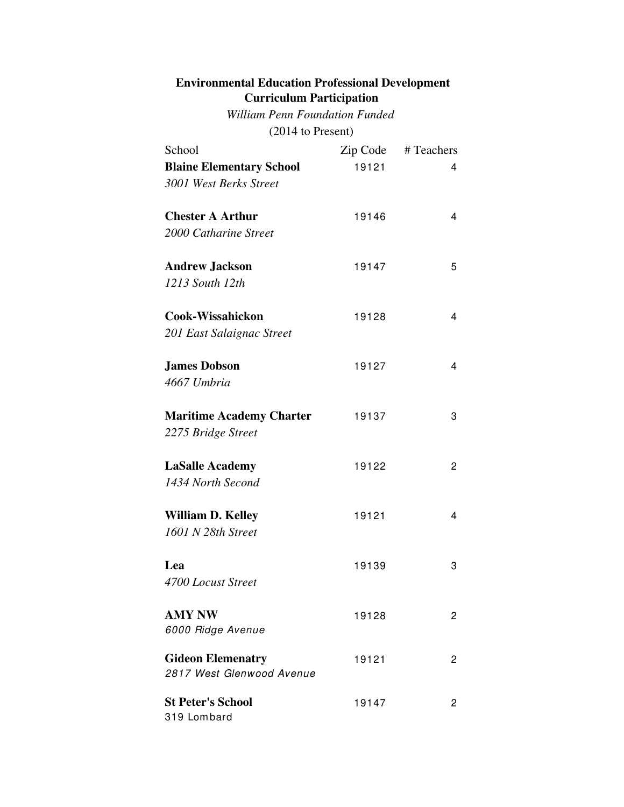### **Environmental Education Professional Development Curriculum Participation**

(2014 to Present) *William Penn Foundation Funded*

| School                                                | Zip Code | # Teachers     |
|-------------------------------------------------------|----------|----------------|
| <b>Blaine Elementary School</b>                       | 19121    | 4              |
| 3001 West Berks Street                                |          |                |
| <b>Chester A Arthur</b>                               | 19146    | 4              |
| 2000 Catharine Street                                 |          |                |
| <b>Andrew Jackson</b>                                 | 19147    | 5              |
| 1213 South 12th                                       |          |                |
| <b>Cook-Wissahickon</b>                               | 19128    | 4              |
| 201 East Salaignac Street                             |          |                |
| <b>James Dobson</b>                                   | 19127    | 4              |
| 4667 Umbria                                           |          |                |
| <b>Maritime Academy Charter</b>                       | 19137    | 3              |
| 2275 Bridge Street                                    |          |                |
| <b>LaSalle Academy</b>                                | 19122    | 2              |
| 1434 North Second                                     |          |                |
| <b>William D. Kelley</b>                              | 19121    | 4              |
| 1601 N 28th Street                                    |          |                |
| Lea                                                   | 19139    | 3              |
| 4700 Locust Street                                    |          |                |
| <b>AMY NW</b>                                         | 19128    | 2              |
| 6000 Ridge Avenue                                     |          |                |
| <b>Gideon Elemenatry</b><br>2817 West Glenwood Avenue | 19121    | $\overline{c}$ |
| <b>St Peter's School</b><br>319 Lombard               | 19147    | 2              |